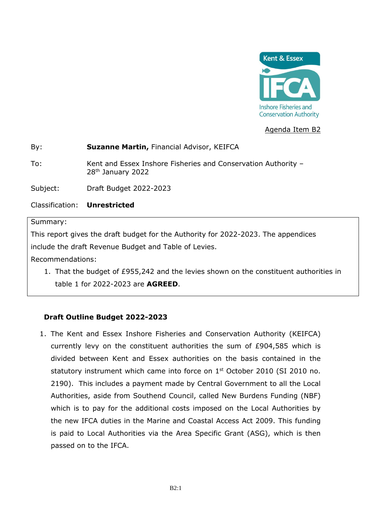

Agenda Item B2

### By: **Suzanne Martin,** Financial Advisor, KEIFCA

To: Kent and Essex Inshore Fisheries and Conservation Authority – 28th January 2022

Subject: Draft Budget 2022-2023

Classification: **Unrestricted**

### Summary:

This report gives the draft budget for the Authority for 2022-2023. The appendices include the draft Revenue Budget and Table of Levies.

Recommendations:

1. That the budget of £955,242 and the levies shown on the constituent authorities in table 1 for 2022-2023 are **AGREED**.

## **Draft Outline Budget 2022-2023**

1. The Kent and Essex Inshore Fisheries and Conservation Authority (KEIFCA) currently levy on the constituent authorities the sum of £904,585 which is divided between Kent and Essex authorities on the basis contained in the statutory instrument which came into force on 1<sup>st</sup> October 2010 (SI 2010 no. 2190). This includes a payment made by Central Government to all the Local Authorities, aside from Southend Council, called New Burdens Funding (NBF) which is to pay for the additional costs imposed on the Local Authorities by the new IFCA duties in the Marine and Coastal Access Act 2009. This funding is paid to Local Authorities via the Area Specific Grant (ASG), which is then passed on to the IFCA.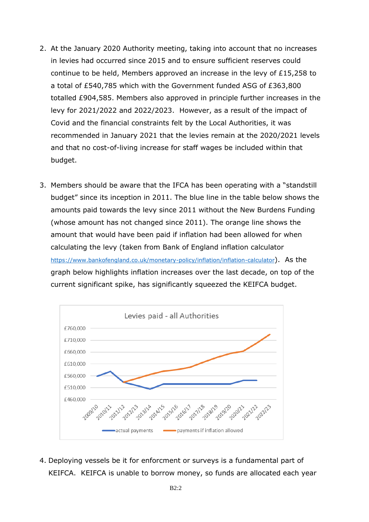- 2. At the January 2020 Authority meeting, taking into account that no increases in levies had occurred since 2015 and to ensure sufficient reserves could continue to be held, Members approved an increase in the levy of £15,258 to a total of £540,785 which with the Government funded ASG of £363,800 totalled £904,585. Members also approved in principle further increases in the levy for 2021/2022 and 2022/2023. However, as a result of the impact of Covid and the financial constraints felt by the Local Authorities, it was recommended in January 2021 that the levies remain at the 2020/2021 levels and that no cost-of-living increase for staff wages be included within that budget.
- 3. Members should be aware that the IFCA has been operating with a "standstill budget" since its inception in 2011. The blue line in the table below shows the amounts paid towards the levy since 2011 without the New Burdens Funding (whose amount has not changed since 2011). The orange line shows the amount that would have been paid if inflation had been allowed for when calculating the levy (taken from Bank of England inflation calculator <https://www.bankofengland.co.uk/monetary-policy/inflation/inflation-calculator>). As the graph below highlights inflation increases over the last decade, on top of the current significant spike, has significantly squeezed the KEIFCA budget.



4. Deploying vessels be it for enforcment or surveys is a fundamental part of KEIFCA. KEIFCA is unable to borrow money, so funds are allocated each year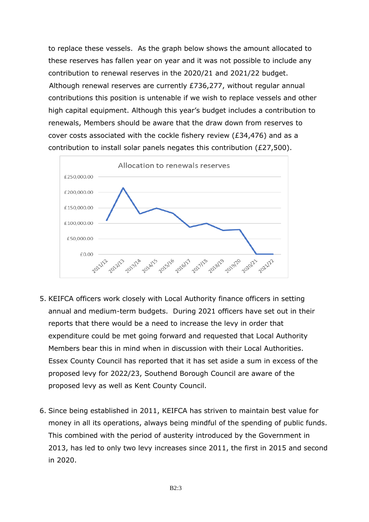to replace these vessels. As the graph below shows the amount allocated to these reserves has fallen year on year and it was not possible to include any contribution to renewal reserves in the 2020/21 and 2021/22 budget. Although renewal reserves are currently £736,277, without regular annual contributions this position is untenable if we wish to replace vessels and other high capital equipment. Although this year's budget includes a contribution to renewals, Members should be aware that the draw down from reserves to cover costs associated with the cockle fishery review (£34,476) and as a contribution to install solar panels negates this contribution  $(E27.500)$ .



- 5. KEIFCA officers work closely with Local Authority finance officers in setting annual and medium-term budgets. During 2021 officers have set out in their reports that there would be a need to increase the levy in order that expenditure could be met going forward and requested that Local Authority Members bear this in mind when in discussion with their Local Authorities. Essex County Council has reported that it has set aside a sum in excess of the proposed levy for 2022/23, Southend Borough Council are aware of the proposed levy as well as Kent County Council.
- 6. Since being established in 2011, KEIFCA has striven to maintain best value for money in all its operations, always being mindful of the spending of public funds. This combined with the period of austerity introduced by the Government in 2013, has led to only two levy increases since 2011, the first in 2015 and second in 2020.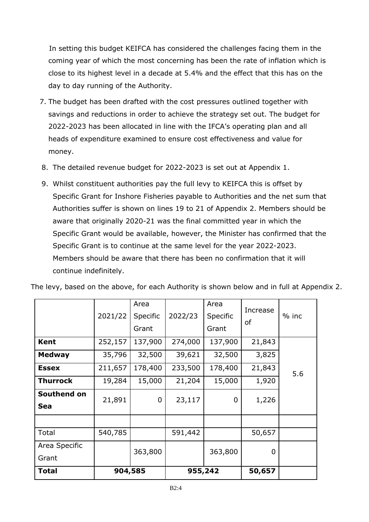In setting this budget KEIFCA has considered the challenges facing them in the coming year of which the most concerning has been the rate of inflation which is close to its highest level in a decade at 5.4% and the effect that this has on the day to day running of the Authority.

- 7. The budget has been drafted with the cost pressures outlined together with savings and reductions in order to achieve the strategy set out. The budget for 2022-2023 has been allocated in line with the IFCA's operating plan and all heads of expenditure examined to ensure cost effectiveness and value for money.
- 8. The detailed revenue budget for 2022-2023 is set out at Appendix 1.
- 9. Whilst constituent authorities pay the full levy to KEIFCA this is offset by Specific Grant for Inshore Fisheries payable to Authorities and the net sum that Authorities suffer is shown on lines 19 to 21 of Appendix 2. Members should be aware that originally 2020-21 was the final committed year in which the Specific Grant would be available, however, the Minister has confirmed that the Specific Grant is to continue at the same level for the year 2022-2023. Members should be aware that there has been no confirmation that it will continue indefinitely.

|                           | 2021/22 | Area<br>Specific | 2022/23 | Area<br>Specific | Increase | $%$ inc |
|---------------------------|---------|------------------|---------|------------------|----------|---------|
|                           |         | Grant            |         | Grant            | οf       |         |
| <b>Kent</b>               | 252,157 | 137,900          | 274,000 | 137,900          | 21,843   |         |
| <b>Medway</b>             | 35,796  | 32,500           | 39,621  | 32,500           | 3,825    |         |
| <b>Essex</b>              | 211,657 | 178,400          | 233,500 | 178,400          | 21,843   | 5.6     |
| <b>Thurrock</b>           | 19,284  | 15,000           | 21,204  | 15,000           | 1,920    |         |
| Southend on<br><b>Sea</b> | 21,891  | 0                | 23,117  | 0                | 1,226    |         |
|                           |         |                  |         |                  |          |         |
| Total                     | 540,785 |                  | 591,442 |                  | 50,657   |         |
| Area Specific             |         | 363,800          |         | 363,800          | 0        |         |
| Grant                     |         |                  |         |                  |          |         |
| Total                     |         | 904,585          |         | 955,242          | 50,657   |         |

The levy, based on the above, for each Authority is shown below and in full at Appendix 2.